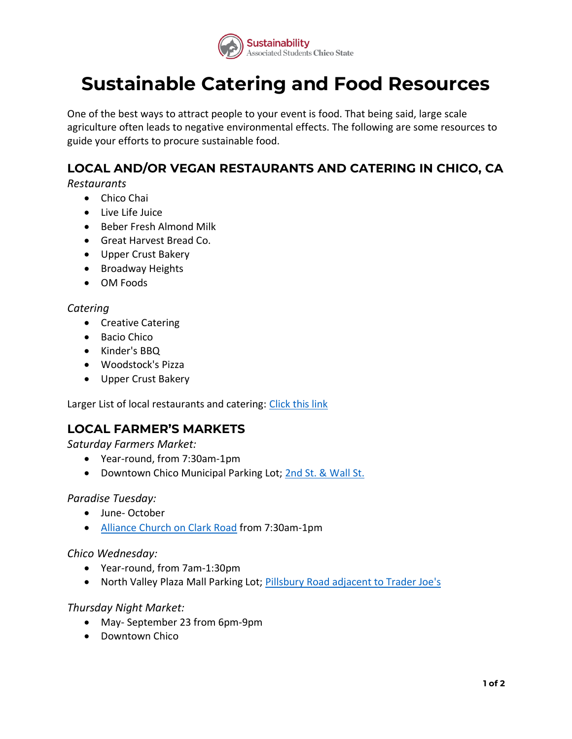

# **Sustainable Catering and Food Resources**

 One of the best ways to attract people to your event is food. That being said, large scale agriculture often leads to negative environmental effects. The following are some resources to guide your efforts to procure sustainable food.

# **LOCAL AND/OR VEGAN RESTAURANTS AND CATERING IN CHICO, CA**

#### *Restaurants*

- Chico Chai
- Live Life Juice
- Beber Fresh Almond Milk
- Great Harvest Bread Co.
- Upper Crust Bakery
- Broadway Heights
- OM Foods

#### *Catering*

- Creative Catering
- Bacio Chico
- Kinder's BBQ
- Woodstock's Pizza
- Upper Crust Bakery

Larger List of local restaurants and catering: Click this link

## **LOCAL FARMER'S MARKETS**

 *Saturday Farmers Market:* 

- Year-round, from 7:30am-1pm
- Downtown Chico Municipal Parking Lot; 2nd St. & Wall St.

#### *Paradise Tuesday:*

- June- October
- [Alliance Church on Clark Road](https://www.google.com/maps/place/Paradise+Alliance+Church/@39.772893,-121.5985131,17z/data=!3m1!4b1!4m5!3m4!1s0x809cd492fb369d3b:0x96bb26799741e8e8!8m2!3d39.772893!4d-121.5963244) from 7:30am-1pm

#### *Chico Wednesday:*

- Year-round, from 7am-1:30pm
- North Valley Plaza Mall Parking Lot; **Pillsbury Road adjacent to Trader Joe's**

### *Thursday Night Market:*

- May- September 23 from 6pm-9pm
- Downtown Chico